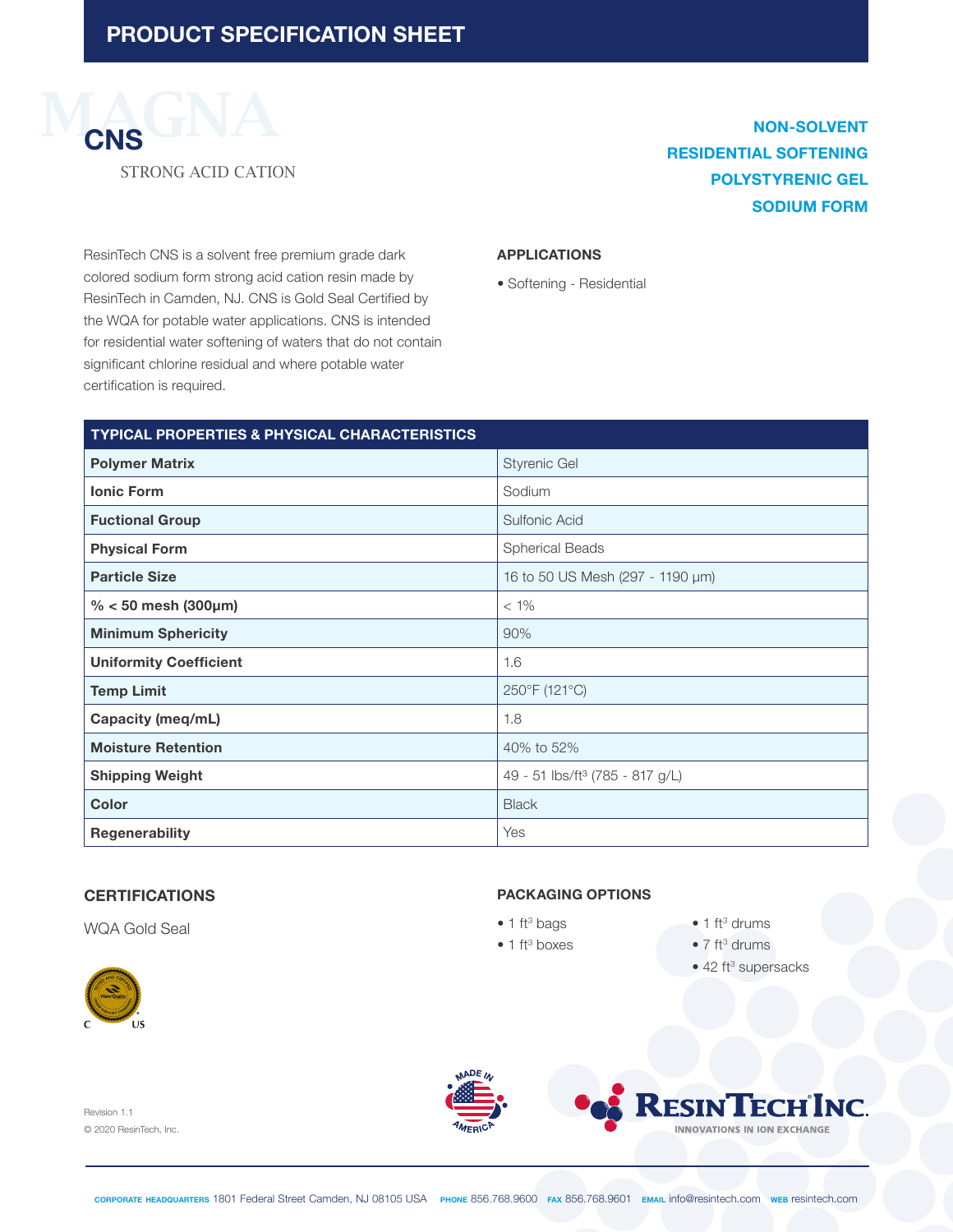

# **NON-SOLVENT RESIDENTIAL SOFTENING POLYSTYRENIC GEL SODIUM FORM**

ResinTech CNS is a solvent free premium grade dark colored sodium form strong acid cation resin made by ResinTech in Camden, NJ. CNS is Gold Seal Certified by the WQA for potable water applications. CNS is intended for residential water softening of waters that do not contain significant chlorine residual and where potable water certification is required.

#### **APPLICATIONS**

• Softening - Residential

| <b>TYPICAL PROPERTIES &amp; PHYSICAL CHARACTERISTICS</b> |                                             |
|----------------------------------------------------------|---------------------------------------------|
| <b>Polymer Matrix</b>                                    | <b>Styrenic Gel</b>                         |
| <b>Ionic Form</b>                                        | Sodium                                      |
| <b>Fuctional Group</b>                                   | Sulfonic Acid                               |
| <b>Physical Form</b>                                     | <b>Spherical Beads</b>                      |
| <b>Particle Size</b>                                     | 16 to 50 US Mesh (297 - 1190 µm)            |
| % < 50 mesh (300 $\mu$ m)                                | $< 1\%$                                     |
| <b>Minimum Sphericity</b>                                | 90%                                         |
| <b>Uniformity Coefficient</b>                            | 1.6                                         |
| <b>Temp Limit</b>                                        | 250°F (121°C)                               |
| Capacity (meq/mL)                                        | 1.8                                         |
| <b>Moisture Retention</b>                                | 40% to 52%                                  |
| <b>Shipping Weight</b>                                   | 49 - 51 lbs/ft <sup>3</sup> (785 - 817 g/L) |
| <b>Color</b>                                             | <b>Black</b>                                |
| <b>Regenerability</b>                                    | Yes                                         |

#### **CERTIFICATIONS**

WQA Gold Seal



#### **PACKAGING OPTIONS**

- $\bullet$  1 ft<sup>3</sup> bags
- $\bullet$  1 ft<sup>3</sup> boxes
- $\bullet$  1 ft<sup>3</sup> drums
- $\bullet$  7 ft<sup>3</sup> drums
- 42 ft<sup>3</sup> supersacks

Revision 1.1 © 2020 ResinTech, Inc.